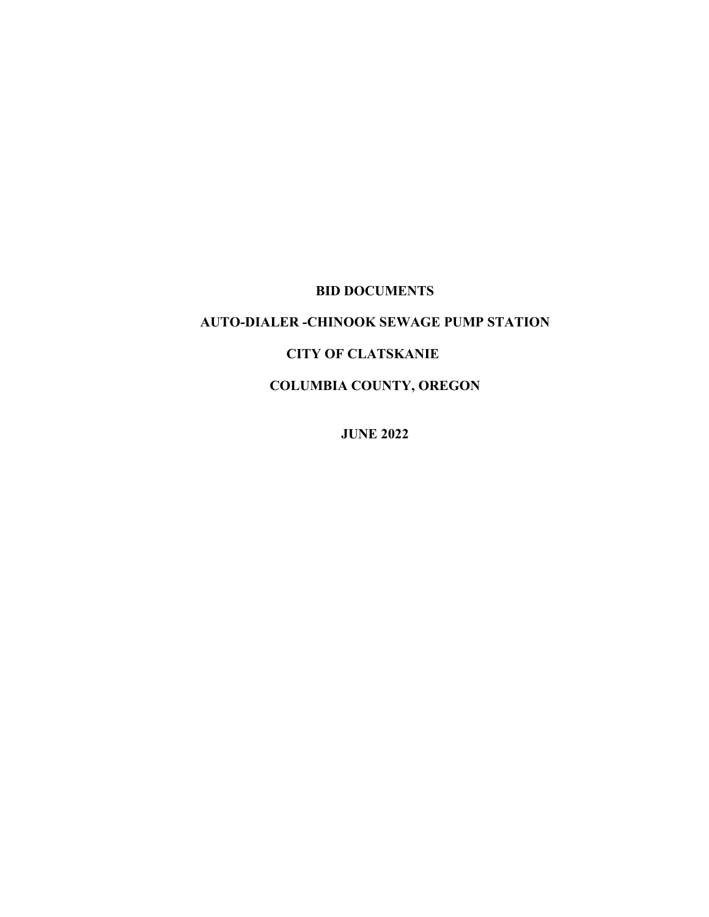# **BID DOCUMENTS**

# **AUTO-DIALER -CHINOOK SEWAGE PUMP STATION**

## **CITY OF CLATSKANIE**

**COLUMBIA COUNTY, OREGON**

**JUNE 2022**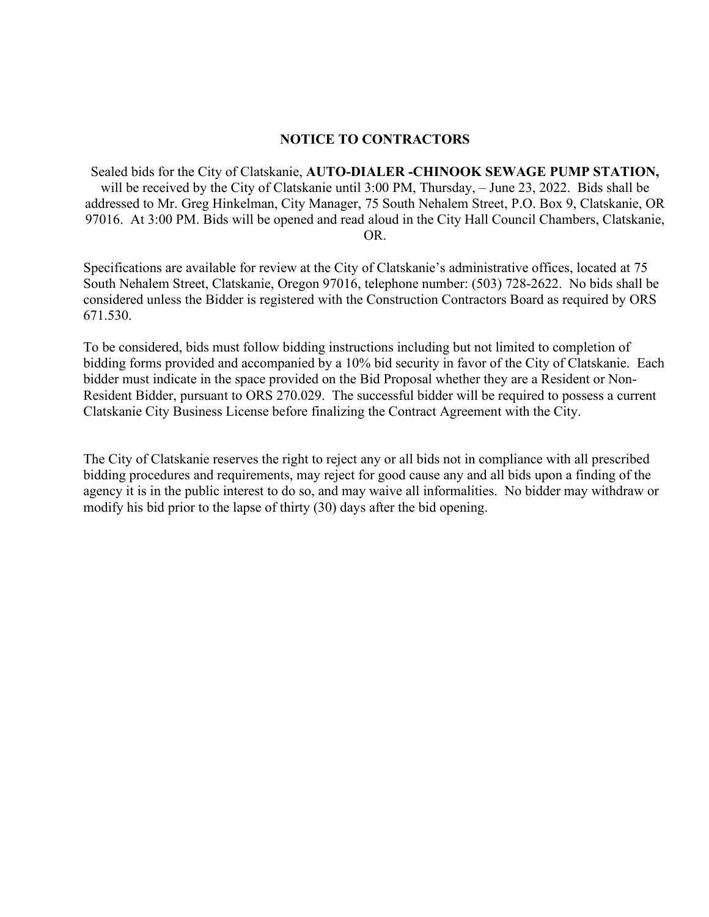#### **NOTICE TO CONTRACTORS**

Sealed bids for the City of Clatskanie, **AUTO-DIALER -CHINOOK SEWAGE PUMP STATION,**  will be received by the City of Clatskanie until 3:00 PM, Thursday, – June 23, 2022. Bids shall be addressed to Mr. Greg Hinkelman, City Manager, 75 South Nehalem Street, P.O. Box 9, Clatskanie, OR 97016. At 3:00 PM. Bids will be opened and read aloud in the City Hall Council Chambers, Clatskanie, OR.

Specifications are available for review at the City of Clatskanie's administrative offices, located at 75 South Nehalem Street, Clatskanie, Oregon 97016, telephone number: (503) 728-2622. No bids shall be considered unless the Bidder is registered with the Construction Contractors Board as required by ORS 671.530.

To be considered, bids must follow bidding instructions including but not limited to completion of bidding forms provided and accompanied by a 10% bid security in favor of the City of Clatskanie. Each bidder must indicate in the space provided on the Bid Proposal whether they are a Resident or Non-Resident Bidder, pursuant to ORS 270.029. The successful bidder will be required to possess a current Clatskanie City Business License before finalizing the Contract Agreement with the City.

The City of Clatskanie reserves the right to reject any or all bids not in compliance with all prescribed bidding procedures and requirements, may reject for good cause any and all bids upon a finding of the agency it is in the public interest to do so, and may waive all informalities. No bidder may withdraw or modify his bid prior to the lapse of thirty (30) days after the bid opening.